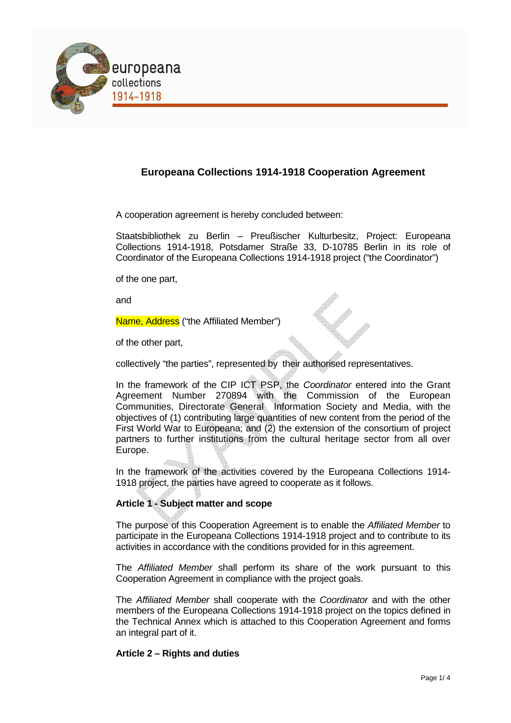

## **Europeana Collections 1914-1918 Cooperation Agreement**

A cooperation agreement is hereby concluded between:

Staatsbibliothek zu Berlin – Preußischer Kulturbesitz, Project: Europeana Collections 1914-1918, Potsdamer Straße 33, D-10785 Berlin in its role of Coordinator of the Europeana Collections 1914-1918 project ("the Coordinator")

of the one part,

and

Name, Address ("the Affiliated Member")

of the other part,

collectively "the parties", represented by their authorised representatives.

In the framework of the CIP ICT PSP, the Coordinator entered into the Grant Agreement Number 270894 with the Commission of the European Communities, Directorate General Information Society and Media, with the objectives of (1) contributing large quantities of new content from the period of the First World War to Europeana; and (2) the extension of the consortium of project partners to further institutions from the cultural heritage sector from all over Europe.

In the framework of the activities covered by the Europeana Collections 1914- 1918 project, the parties have agreed to cooperate as it follows.

### **Article 1 - Subject matter and scope**

The purpose of this Cooperation Agreement is to enable the Affiliated Member to participate in the Europeana Collections 1914-1918 project and to contribute to its activities in accordance with the conditions provided for in this agreement.

The Affiliated Member shall perform its share of the work pursuant to this Cooperation Agreement in compliance with the project goals.

The Affiliated Member shall cooperate with the Coordinator and with the other members of the Europeana Collections 1914-1918 project on the topics defined in the Technical Annex which is attached to this Cooperation Agreement and forms an integral part of it.

### **Article 2 – Rights and duties**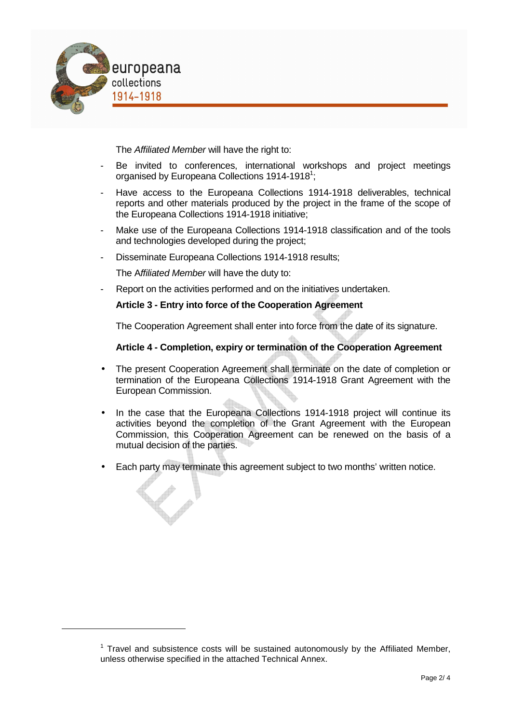

 $\overline{a}$ 

The Affiliated Member will have the right to:

- Be invited to conferences, international workshops and project meetings organised by Europeana Collections 1914-1918<sup>1</sup>;
- Have access to the Europeana Collections 1914-1918 deliverables, technical reports and other materials produced by the project in the frame of the scope of the Europeana Collections 1914-1918 initiative;
- Make use of the Europeana Collections 1914-1918 classification and of the tools and technologies developed during the project;
- Disseminate Europeana Collections 1914-1918 results;

The Affiliated Member will have the duty to:

Report on the activities performed and on the initiatives undertaken.

### **Article 3 - Entry into force of the Cooperation Agreement**

The Cooperation Agreement shall enter into force from the date of its signature.

#### **Article 4 - Completion, expiry or termination of the Cooperation Agreement**

- The present Cooperation Agreement shall terminate on the date of completion or termination of the Europeana Collections 1914-1918 Grant Agreement with the European Commission.
- In the case that the Europeana Collections 1914-1918 project will continue its activities beyond the completion of the Grant Agreement with the European Commission, this Cooperation Agreement can be renewed on the basis of a mutual decision of the parties.
- Each party may terminate this agreement subject to two months' written notice.

 $1$  Travel and subsistence costs will be sustained autonomously by the Affiliated Member, unless otherwise specified in the attached Technical Annex.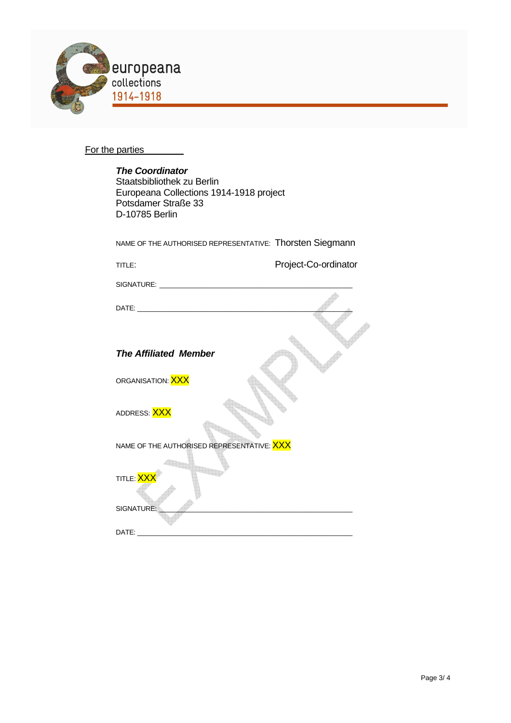

# For the parties

| <b>The Coordinator</b><br>Staatsbibliothek zu Berlin<br>Europeana Collections 1914-1918 project<br>Potsdamer Straße 33<br>D-10785 Berlin |                      |  |  |  |  |
|------------------------------------------------------------------------------------------------------------------------------------------|----------------------|--|--|--|--|
| NAME OF THE AUTHORISED REPRESENTATIVE: Thorsten Siegmann                                                                                 |                      |  |  |  |  |
| TITLE:                                                                                                                                   | Project-Co-ordinator |  |  |  |  |
|                                                                                                                                          |                      |  |  |  |  |
|                                                                                                                                          |                      |  |  |  |  |
| <b>The Affiliated Member</b>                                                                                                             |                      |  |  |  |  |
| ORGANISATION: <mark>XXX</mark>                                                                                                           |                      |  |  |  |  |
| ADDRESS: XXX                                                                                                                             |                      |  |  |  |  |
| NAME OF THE AUTHORISED REPRESENTATIVE: XXX                                                                                               |                      |  |  |  |  |
| TITLE: XX<br>SIGNATURE:                                                                                                                  |                      |  |  |  |  |
|                                                                                                                                          |                      |  |  |  |  |
| DATE:                                                                                                                                    |                      |  |  |  |  |